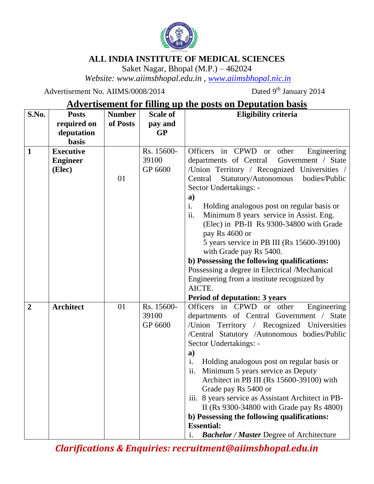

## **ALL INDIA INSTITUTE OF MEDICAL SCIENCES**

Saket Nagar, Bhopal (M.P.) – 462024

*Website: www.aiimsbhopal.edu.in , [www.aiimsbhopal.nic.in](http://www.aiimsbhopal.nic.in/)*

Advertisement No. AIIMS/0008/2014

Dated 9<sup>th</sup> January 2014

## **Advertisement for filling up the posts on Deputation basis**

| S.No.          | <b>Posts</b>     | <b>Number</b> | <b>Scale of</b>     | <b>Eligibility criteria</b>                                                             |
|----------------|------------------|---------------|---------------------|-----------------------------------------------------------------------------------------|
|                | required on      | of Posts      | pay and             |                                                                                         |
|                | deputation       |               | <b>GP</b>           |                                                                                         |
|                | <b>basis</b>     |               |                     |                                                                                         |
| $\mathbf{1}$   | <b>Executive</b> |               | Rs. 15600-          | Officers in CPWD or other<br>Engineering                                                |
|                | <b>Engineer</b>  |               | 39100               | departments of Central<br>Government / State                                            |
|                | (Elec)           |               | GP 6600             | /Union Territory / Recognized Universities /                                            |
|                |                  | 01            |                     | Central<br>Statutory/Autonomous<br>bodies/Public                                        |
|                |                  |               |                     | Sector Undertakings: -                                                                  |
|                |                  |               |                     | a)                                                                                      |
|                |                  |               |                     | i.<br>Holding analogous post on regular basis or                                        |
|                |                  |               |                     | ii.<br>Minimum 8 years service in Assist. Eng.                                          |
|                |                  |               |                     | (Elec) in PB-II Rs 9300-34800 with Grade                                                |
|                |                  |               |                     | pay Rs 4600 or                                                                          |
|                |                  |               |                     | 5 years service in PB III (Rs 15600-39100)                                              |
|                |                  |               |                     | with Grade pay Rs 5400.                                                                 |
|                |                  |               |                     | b) Possessing the following qualifications:                                             |
|                |                  |               |                     | Possessing a degree in Electrical /Mechanical                                           |
|                |                  |               |                     | Engineering from a institute recognized by                                              |
|                |                  |               |                     | AICTE.                                                                                  |
|                |                  |               |                     | <b>Period of deputation: 3 years</b>                                                    |
| $\overline{2}$ | <b>Architect</b> | 01            | Rs. 15600-<br>39100 | Officers in CPWD or other<br>Engineering                                                |
|                |                  |               | GP 6600             | departments of Central Government / State<br>/Union Territory / Recognized Universities |
|                |                  |               |                     | /Central Statutory /Autonomous bodies/Public                                            |
|                |                  |               |                     | Sector Undertakings: -                                                                  |
|                |                  |               |                     | a)                                                                                      |
|                |                  |               |                     | i.<br>Holding analogous post on regular basis or                                        |
|                |                  |               |                     | ii.<br>Minimum 5 years service as Deputy                                                |
|                |                  |               |                     | Architect in PB III (Rs 15600-39100) with                                               |
|                |                  |               |                     | Grade pay Rs 5400 or                                                                    |
|                |                  |               |                     | iii. 8 years service as Assistant Architect in PB-                                      |
|                |                  |               |                     | II (Rs 9300-34800 with Grade pay Rs 4800)                                               |
|                |                  |               |                     | b) Possessing the following qualifications:                                             |
|                |                  |               |                     | <b>Essential:</b>                                                                       |
|                |                  |               |                     | <b>Bachelor / Master Degree of Architecture</b><br>i.                                   |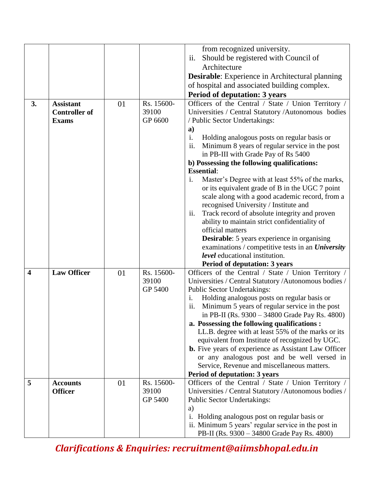|    |                      |    |            | from recognized university.                                                                                |
|----|----------------------|----|------------|------------------------------------------------------------------------------------------------------------|
|    |                      |    |            | Should be registered with Council of<br>ii.                                                                |
|    |                      |    |            | Architecture                                                                                               |
|    |                      |    |            | Desirable: Experience in Architectural planning                                                            |
|    |                      |    |            | of hospital and associated building complex.                                                               |
|    |                      |    |            |                                                                                                            |
|    | <b>Assistant</b>     |    | Rs. 15600- | Period of deputation: 3 years                                                                              |
| 3. | <b>Controller of</b> | 01 | 39100      | Officers of the Central / State / Union Territory /<br>Universities / Central Statutory /Autonomous bodies |
|    | <b>Exams</b>         |    | GP 6600    | / Public Sector Undertakings:                                                                              |
|    |                      |    |            | a)                                                                                                         |
|    |                      |    |            | i.<br>Holding analogous posts on regular basis or                                                          |
|    |                      |    |            | ii.<br>Minimum 8 years of regular service in the post                                                      |
|    |                      |    |            | in PB-III with Grade Pay of Rs 5400                                                                        |
|    |                      |    |            | b) Possessing the following qualifications:                                                                |
|    |                      |    |            | <b>Essential:</b>                                                                                          |
|    |                      |    |            | Master's Degree with at least 55% of the marks,<br>$\mathbf{1}$ .                                          |
|    |                      |    |            | or its equivalent grade of B in the UGC 7 point                                                            |
|    |                      |    |            | scale along with a good academic record, from a                                                            |
|    |                      |    |            | recognised University / Institute and                                                                      |
|    |                      |    |            | ii.<br>Track record of absolute integrity and proven                                                       |
|    |                      |    |            | ability to maintain strict confidentiality of                                                              |
|    |                      |    |            | official matters                                                                                           |
|    |                      |    |            | <b>Desirable:</b> 5 years experience in organising                                                         |
|    |                      |    |            | examinations / competitive tests in an <i>University</i>                                                   |
|    |                      |    |            | <i>level</i> educational institution.                                                                      |
|    |                      |    |            | <b>Period of deputation: 3 years</b>                                                                       |
| 4  | <b>Law Officer</b>   | 01 | Rs. 15600- | Officers of the Central / State / Union Territory /                                                        |
|    |                      |    | 39100      | Universities / Central Statutory / Autonomous bodies /                                                     |
|    |                      |    | GP 5400    | <b>Public Sector Undertakings:</b>                                                                         |
|    |                      |    |            | Holding analogous posts on regular basis or<br>i.                                                          |
|    |                      |    |            | ii.<br>Minimum 5 years of regular service in the post                                                      |
|    |                      |    |            | in PB-II (Rs. 9300 – 34800 Grade Pay Rs. 4800)                                                             |
|    |                      |    |            | a. Possessing the following qualifications :                                                               |
|    |                      |    |            | LL.B. degree with at least 55% of the marks or its                                                         |
|    |                      |    |            | equivalent from Institute of recognized by UGC.                                                            |
|    |                      |    |            | <b>b.</b> Five years of experience as Assistant Law Officer                                                |
|    |                      |    |            | or any analogous post and be well versed in<br>Service, Revenue and miscellaneous matters.                 |
|    |                      |    |            | <b>Period of deputation: 3 years</b>                                                                       |
| 5  | <b>Accounts</b>      | 01 | Rs. 15600- | Officers of the Central / State / Union Territory /                                                        |
|    | <b>Officer</b>       |    | 39100      | Universities / Central Statutory / Autonomous bodies /                                                     |
|    |                      |    | GP 5400    | <b>Public Sector Undertakings:</b>                                                                         |
|    |                      |    |            | a)                                                                                                         |
|    |                      |    |            | Holding analogous post on regular basis or<br>i.                                                           |
|    |                      |    |            | ii. Minimum 5 years' regular service in the post in                                                        |
|    |                      |    |            | PB-II (Rs. 9300 - 34800 Grade Pay Rs. 4800)                                                                |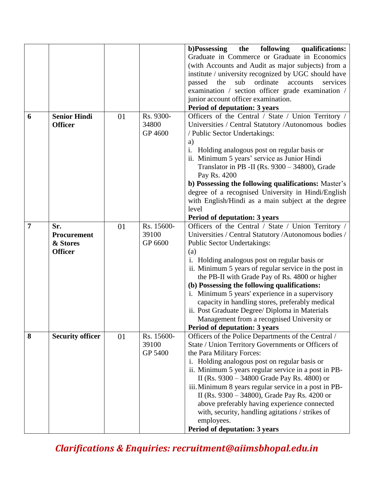|   |                         |    |            | b)Possessing<br>following<br>the<br>qualifications:      |
|---|-------------------------|----|------------|----------------------------------------------------------|
|   |                         |    |            | Graduate in Commerce or Graduate in Economics            |
|   |                         |    |            | (with Accounts and Audit as major subjects) from a       |
|   |                         |    |            | institute / university recognized by UGC should have     |
|   |                         |    |            | ordinate<br>passed<br>sub<br>services<br>the<br>accounts |
|   |                         |    |            | examination / section officer grade examination /        |
|   |                         |    |            | junior account officer examination.                      |
|   |                         |    |            | Period of deputation: 3 years                            |
| 6 | <b>Senior Hindi</b>     | 01 | Rs. 9300-  | Officers of the Central / State / Union Territory /      |
|   | <b>Officer</b>          |    | 34800      | Universities / Central Statutory /Autonomous bodies      |
|   |                         |    | GP 4600    | / Public Sector Undertakings:                            |
|   |                         |    |            | a)                                                       |
|   |                         |    |            | i.<br>Holding analogous post on regular basis or         |
|   |                         |    |            | ii. Minimum 5 years' service as Junior Hindi             |
|   |                         |    |            | Translator in PB -II (Rs. 9300 - 34800), Grade           |
|   |                         |    |            | Pay Rs. 4200                                             |
|   |                         |    |            | b) Possessing the following qualifications: Master's     |
|   |                         |    |            | degree of a recognised University in Hindi/English       |
|   |                         |    |            | with English/Hindi as a main subject at the degree       |
|   |                         |    |            | level                                                    |
|   |                         |    |            | <b>Period of deputation: 3 years</b>                     |
| 7 | Sr.                     | 01 | Rs. 15600- | Officers of the Central / State / Union Territory /      |
|   | Procurement             |    | 39100      | Universities / Central Statutory / Autonomous bodies /   |
|   | & Stores                |    | GP 6600    | <b>Public Sector Undertakings:</b>                       |
|   | <b>Officer</b>          |    |            | (a)                                                      |
|   |                         |    |            | i. Holding analogous post on regular basis or            |
|   |                         |    |            | ii. Minimum 5 years of regular service in the post in    |
|   |                         |    |            | the PB-II with Grade Pay of Rs. 4800 or higher           |
|   |                         |    |            | (b) Possessing the following qualifications:             |
|   |                         |    |            | i. Minimum 5 years' experience in a supervisory          |
|   |                         |    |            | capacity in handling stores, preferably medical          |
|   |                         |    |            | ii. Post Graduate Degree/ Diploma in Materials           |
|   |                         |    |            | Management from a recognised University or               |
|   |                         |    |            | <b>Period of deputation: 3 years</b>                     |
| 8 | <b>Security officer</b> | 01 | Rs. 15600- | Officers of the Police Departments of the Central /      |
|   |                         |    | 39100      | State / Union Territory Governments or Officers of       |
|   |                         |    | GP 5400    | the Para Military Forces:                                |
|   |                         |    |            | i. Holding analogous post on regular basis or            |
|   |                         |    |            | ii. Minimum 5 years regular service in a post in PB-     |
|   |                         |    |            | II (Rs. 9300 – 34800 Grade Pay Rs. 4800) or              |
|   |                         |    |            | iii. Minimum 8 years regular service in a post in PB-    |
|   |                         |    |            | II (Rs. 9300 – 34800), Grade Pay Rs. 4200 or             |
|   |                         |    |            | above preferably having experience connected             |
|   |                         |    |            | with, security, handling agitations / strikes of         |
|   |                         |    |            | employees.                                               |
|   |                         |    |            | Period of deputation: 3 years                            |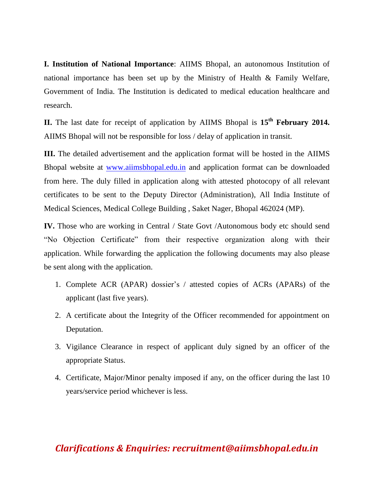**I. Institution of National Importance**: AIIMS Bhopal, an autonomous Institution of national importance has been set up by the Ministry of Health & Family Welfare, Government of India. The Institution is dedicated to medical education healthcare and research.

**II.** The last date for receipt of application by AIIMS Bhopal is **15th February 2014.** AIIMS Bhopal will not be responsible for loss / delay of application in transit.

**III.** The detailed advertisement and the application format will be hosted in the AIIMS Bhopal website at [www.aiimsbhopal.edu.in](http://www.aiimsbhopal.edu.in/) and application format can be downloaded from here. The duly filled in application along with attested photocopy of all relevant certificates to be sent to the Deputy Director (Administration), All India Institute of Medical Sciences, Medical College Building , Saket Nager, Bhopal 462024 (MP).

**IV.** Those who are working in Central / State Govt /Autonomous body etc should send "No Objection Certificate" from their respective organization along with their application. While forwarding the application the following documents may also please be sent along with the application.

- 1. Complete ACR (APAR) dossier's / attested copies of ACRs (APARs) of the applicant (last five years).
- 2. A certificate about the Integrity of the Officer recommended for appointment on Deputation.
- 3. Vigilance Clearance in respect of applicant duly signed by an officer of the appropriate Status.
- 4. Certificate, Major/Minor penalty imposed if any, on the officer during the last 10 years/service period whichever is less.